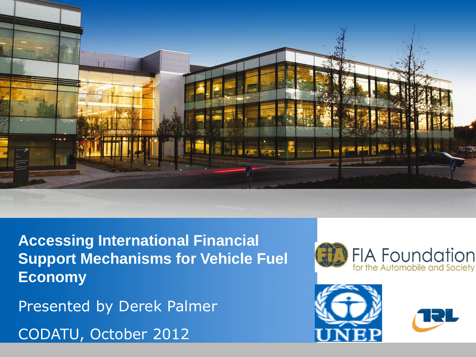

**Accessing International Financial Support Mechanisms for Vehicle Fuel Economy**

Presented by Derek Palmer

CODATU, October 2012





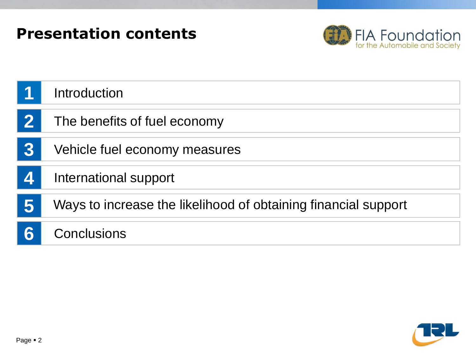



|              | Introduction                                                   |
|--------------|----------------------------------------------------------------|
| $\mathbf{2}$ | The benefits of fuel economy                                   |
| 3            | Vehicle fuel economy measures                                  |
| 4            | International support                                          |
| 5            | Ways to increase the likelihood of obtaining financial support |
| 6            | Conclusions                                                    |

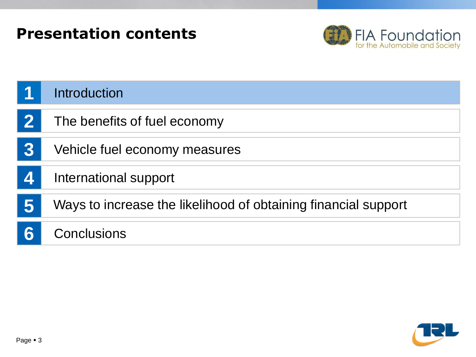#### **Presentation contents**



|   | Introduction                                                   |
|---|----------------------------------------------------------------|
|   | The benefits of fuel economy                                   |
| 3 | Vehicle fuel economy measures                                  |
| 4 | International support                                          |
|   | Ways to increase the likelihood of obtaining financial support |
|   | Conclusions                                                    |

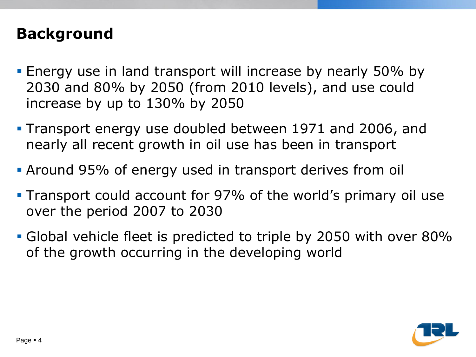#### **Background**

- **Energy use in land transport will increase by nearly 50% by** 2030 and 80% by 2050 (from 2010 levels), and use could increase by up to 130% by 2050
- Transport energy use doubled between 1971 and 2006, and nearly all recent growth in oil use has been in transport
- Around 95% of energy used in transport derives from oil
- **Transport could account for 97% of the world's primary oil use** over the period 2007 to 2030
- Global vehicle fleet is predicted to triple by 2050 with over 80% of the growth occurring in the developing world

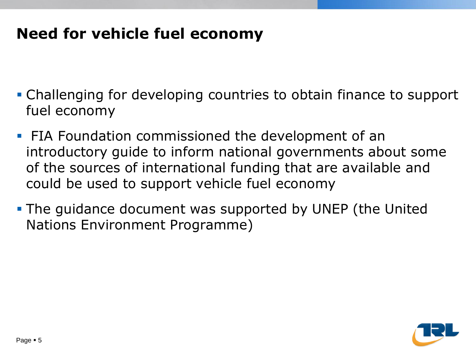#### **Need for vehicle fuel economy**

- Challenging for developing countries to obtain finance to support fuel economy
- **FIA Foundation commissioned the development of an** introductory guide to inform national governments about some of the sources of international funding that are available and could be used to support vehicle fuel economy
- The guidance document was supported by UNEP (the United Nations Environment Programme)

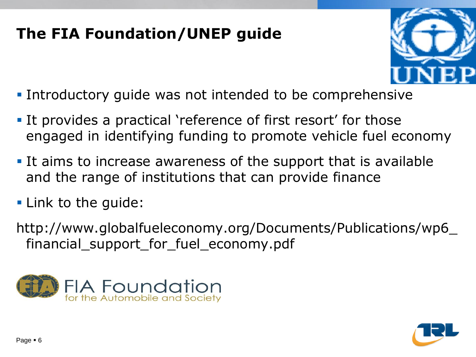## **The FIA Foundation/UNEP guide**



- **Introductory guide was not intended to be comprehensive**
- It provides a practical 'reference of first resort' for those engaged in identifying funding to promote vehicle fuel economy
- It aims to increase awareness of the support that is available and the range of institutions that can provide finance
- **Link to the guide:**
- http://www.globalfueleconomy.org/Documents/Publications/wp6\_ financial\_support\_for\_fuel\_economy.pdf



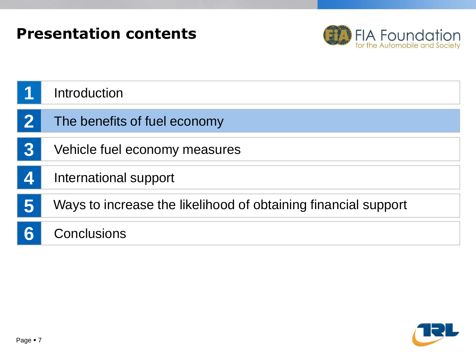



|                  | Introduction                                                   |
|------------------|----------------------------------------------------------------|
| $\mathbf{2}$     | The benefits of fuel economy                                   |
| 3                | Vehicle fuel economy measures                                  |
| $\blacktriangle$ | International support                                          |
| 5                | Ways to increase the likelihood of obtaining financial support |
| 6                | Conclusions                                                    |

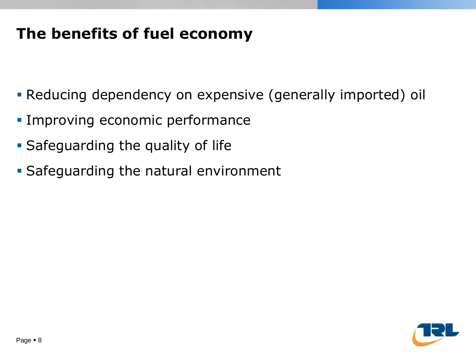## **The benefits of fuel economy**

- Reducing dependency on expensive (generally imported) oil
- **Improving economic performance**
- **Safeguarding the quality of life**
- **Safeguarding the natural environment**

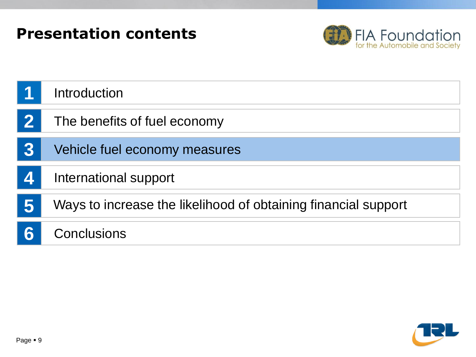



|                        | Introduction                                                   |
|------------------------|----------------------------------------------------------------|
| $\mathbf{2}$           | The benefits of fuel economy                                   |
| 3                      | Vehicle fuel economy measures                                  |
| $\vert\mathbf{A}\vert$ | International support                                          |
| 5                      | Ways to increase the likelihood of obtaining financial support |
|                        | Conclusions                                                    |

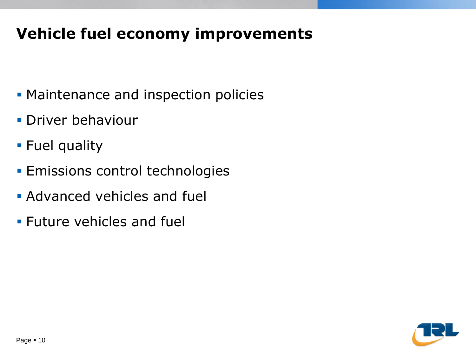## **Vehicle fuel economy improvements**

- **Maintenance and inspection policies**
- **Driver behaviour**
- **Fuel quality**
- **Emissions control technologies**
- **Advanced vehicles and fuel**
- **Future vehicles and fuell**

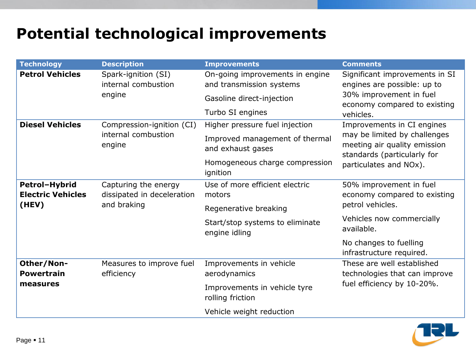## **Potential technological improvements**

| <b>Technology</b>        | <b>Description</b>                                         | <b>Improvements</b>                                         | <b>Comments</b>                                                                             |
|--------------------------|------------------------------------------------------------|-------------------------------------------------------------|---------------------------------------------------------------------------------------------|
| <b>Petrol Vehicles</b>   | Spark-ignition (SI)<br>internal combustion<br>engine       | On-going improvements in engine<br>and transmission systems | Significant improvements in SI<br>engines are possible: up to                               |
|                          |                                                            | Gasoline direct-injection                                   | 30% improvement in fuel<br>economy compared to existing                                     |
|                          |                                                            | Turbo SI engines                                            | vehicles.                                                                                   |
| <b>Diesel Vehicles</b>   | Compression-ignition (CI)<br>internal combustion<br>engine | Higher pressure fuel injection                              | Improvements in CI engines                                                                  |
|                          |                                                            | Improved management of thermal<br>and exhaust gases         | may be limited by challenges<br>meeting air quality emission<br>standards (particularly for |
|                          |                                                            | Homogeneous charge compression<br>ignition                  | particulates and NOx).                                                                      |
| Petrol-Hybrid            | Capturing the energy                                       | Use of more efficient electric                              | 50% improvement in fuel                                                                     |
| <b>Electric Vehicles</b> | dissipated in deceleration<br>and braking                  | motors                                                      | economy compared to existing                                                                |
| (HEV)                    |                                                            | Regenerative breaking                                       | petrol vehicles.                                                                            |
|                          |                                                            | Start/stop systems to eliminate<br>engine idling            | Vehicles now commercially<br>available.                                                     |
|                          |                                                            |                                                             | No changes to fuelling<br>infrastructure required.                                          |
| Other/Non-               | Measures to improve fuel                                   | Improvements in vehicle                                     | These are well established                                                                  |
| <b>Powertrain</b>        | efficiency                                                 | aerodynamics                                                | technologies that can improve                                                               |
| measures                 |                                                            | Improvements in vehicle tyre<br>rolling friction            | fuel efficiency by 10-20%.                                                                  |
|                          |                                                            | Vehicle weight reduction                                    |                                                                                             |

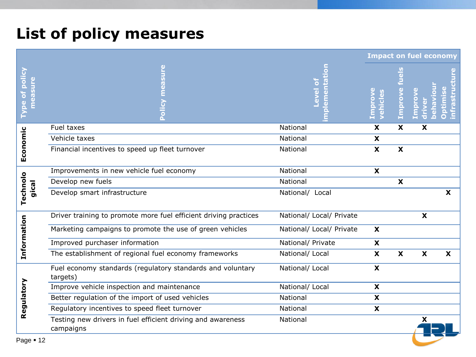## **List of policy measures**

| <u>Sur</u><br>ð                                                                                                                  | $\frac{9}{9}$<br><b>Lmprov</b> |        |   |
|----------------------------------------------------------------------------------------------------------------------------------|--------------------------------|--------|---|
| Type of policy<br>measure<br><b>Povel</b><br>ehicl                                                                               |                                | improv |   |
| National<br>Fuel taxes<br>X                                                                                                      | $\boldsymbol{\mathsf{X}}$      | X      |   |
| Vehicle taxes<br>National<br>$\mathbf{x}$                                                                                        |                                |        |   |
| Economic<br>$\boldsymbol{\mathsf{X}}$<br>Financial incentives to speed up fleet turnover<br>National                             | $\boldsymbol{\mathsf{X}}$      |        |   |
| Improvements in new vehicle fuel economy<br>National<br>X                                                                        |                                |        |   |
| Develop new fuels<br>National                                                                                                    | $\boldsymbol{\mathsf{x}}$      |        |   |
| Technolo<br>gical<br>Develop smart infrastructure<br>National/ Local                                                             |                                |        | X |
| Driver training to promote more fuel efficient driving practices<br>National/ Local/ Private                                     |                                | X      |   |
| Information<br>Marketing campaigns to promote the use of green vehicles<br>National/ Local/ Private<br>$\boldsymbol{\mathsf{X}}$ |                                |        |   |
| Improved purchaser information<br>National/ Private<br>X                                                                         |                                |        |   |
| The establishment of regional fuel economy frameworks<br>National/ Local<br>$\boldsymbol{\mathsf{x}}$                            | $\boldsymbol{\mathsf{X}}$      | X      | X |
| Fuel economy standards (regulatory standards and voluntary<br>National/ Local<br>$\mathbf x$<br>targets)                         |                                |        |   |
| Improve vehicle inspection and maintenance<br>National/ Local<br>X                                                               |                                |        |   |
| Regulatory<br>Better regulation of the import of used vehicles<br>National<br>$\mathbf{x}$                                       |                                |        |   |
| Regulatory incentives to speed fleet turnover<br>National<br>X                                                                   |                                |        |   |
| Testing new drivers in fuel efficient driving and awareness<br>National<br>campaigns                                             |                                | X      |   |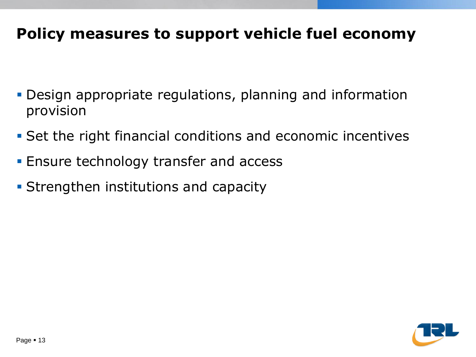### **Policy measures to support vehicle fuel economy**

- Design appropriate regulations, planning and information provision
- Set the right financial conditions and economic incentives
- **Ensure technology transfer and access**
- **Strengthen institutions and capacity**

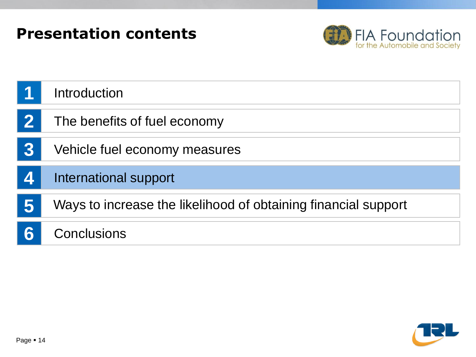



|   | Introduction                                                   |
|---|----------------------------------------------------------------|
|   | The benefits of fuel economy                                   |
| 3 | Vehicle fuel economy measures                                  |
| 4 | International support                                          |
| 5 | Ways to increase the likelihood of obtaining financial support |
| 6 | Conclusions                                                    |

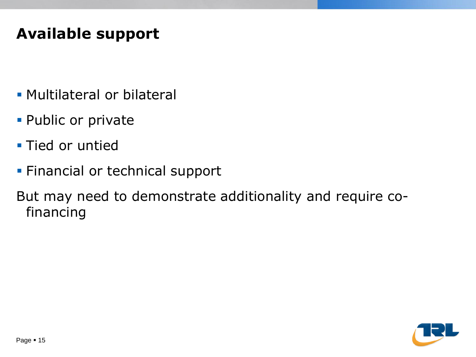## **Available support**

- Multilateral or bilateral
- **Public or private**
- **Tied or untied**
- **Financial or technical support**

But may need to demonstrate additionality and require cofinancing

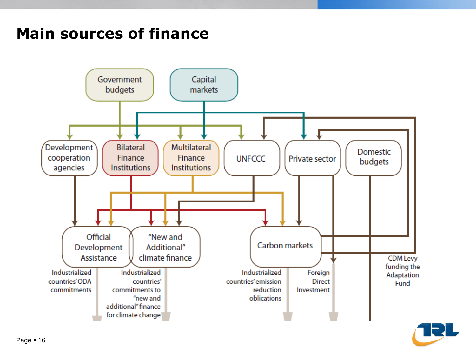## **Main sources of finance**



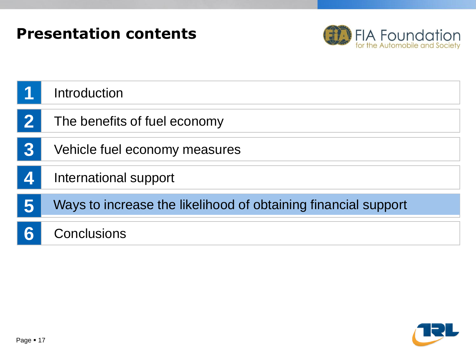



|          | Introduction                                                   |
|----------|----------------------------------------------------------------|
| $\bf{2}$ | The benefits of fuel economy                                   |
| 3        | Vehicle fuel economy measures                                  |
| 4        | International support                                          |
| 5        | Ways to increase the likelihood of obtaining financial support |
|          | <b>Conclusions</b>                                             |

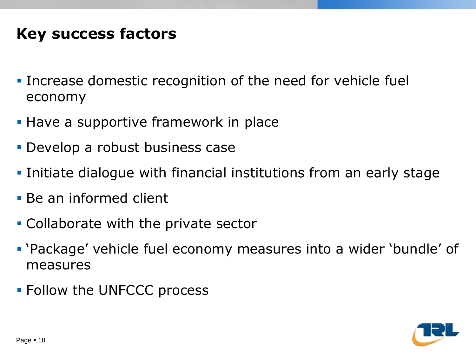## **Key success factors**

- **Increase domestic recognition of the need for vehicle fuel** economy
- **Have a supportive framework in place**
- **Develop a robust business case**
- **Initiate dialogue with financial institutions from an early stage**
- Be an informed client
- Collaborate with the private sector
- 'Package' vehicle fuel economy measures into a wider 'bundle' of measures
- **Follow the UNFCCC process**

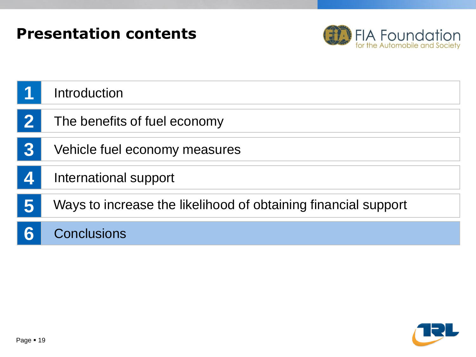



|                  | Introduction                                                   |
|------------------|----------------------------------------------------------------|
| 2                | The benefits of fuel economy                                   |
| $\overline{3}$   | Vehicle fuel economy measures                                  |
| $\blacktriangle$ | International support                                          |
| 5                | Ways to increase the likelihood of obtaining financial support |
| 6                | <b>Conclusions</b>                                             |

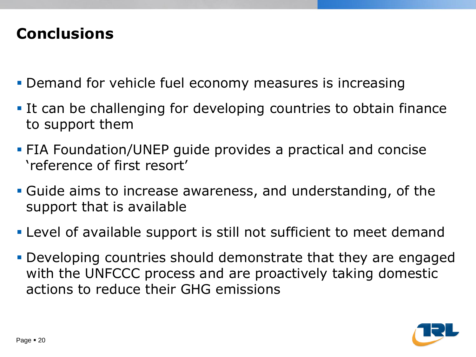### **Conclusions**

- **Demand for vehicle fuel economy measures is increasing**
- It can be challenging for developing countries to obtain finance to support them
- FIA Foundation/UNEP guide provides a practical and concise 'reference of first resort'
- Guide aims to increase awareness, and understanding, of the support that is available
- Level of available support is still not sufficient to meet demand
- Developing countries should demonstrate that they are engaged with the UNFCCC process and are proactively taking domestic actions to reduce their GHG emissions

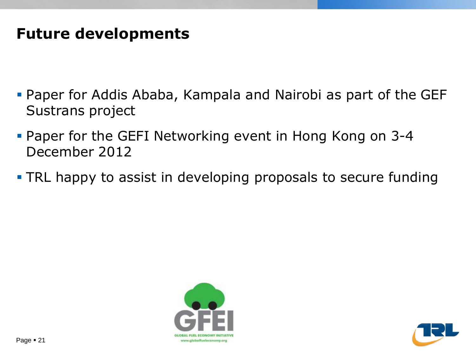#### **Future developments**

- Paper for Addis Ababa, Kampala and Nairobi as part of the GEF Sustrans project
- **Paper for the GEFI Networking event in Hong Kong on 3-4** December 2012
- **TRL happy to assist in developing proposals to secure funding**



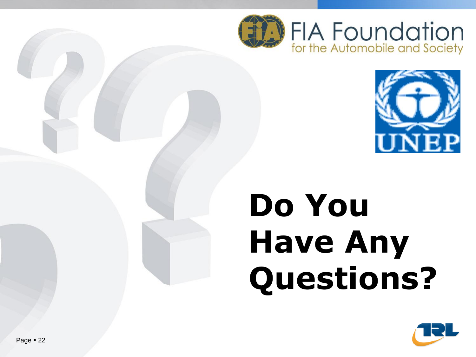



# **Do You Have Any Questions?**